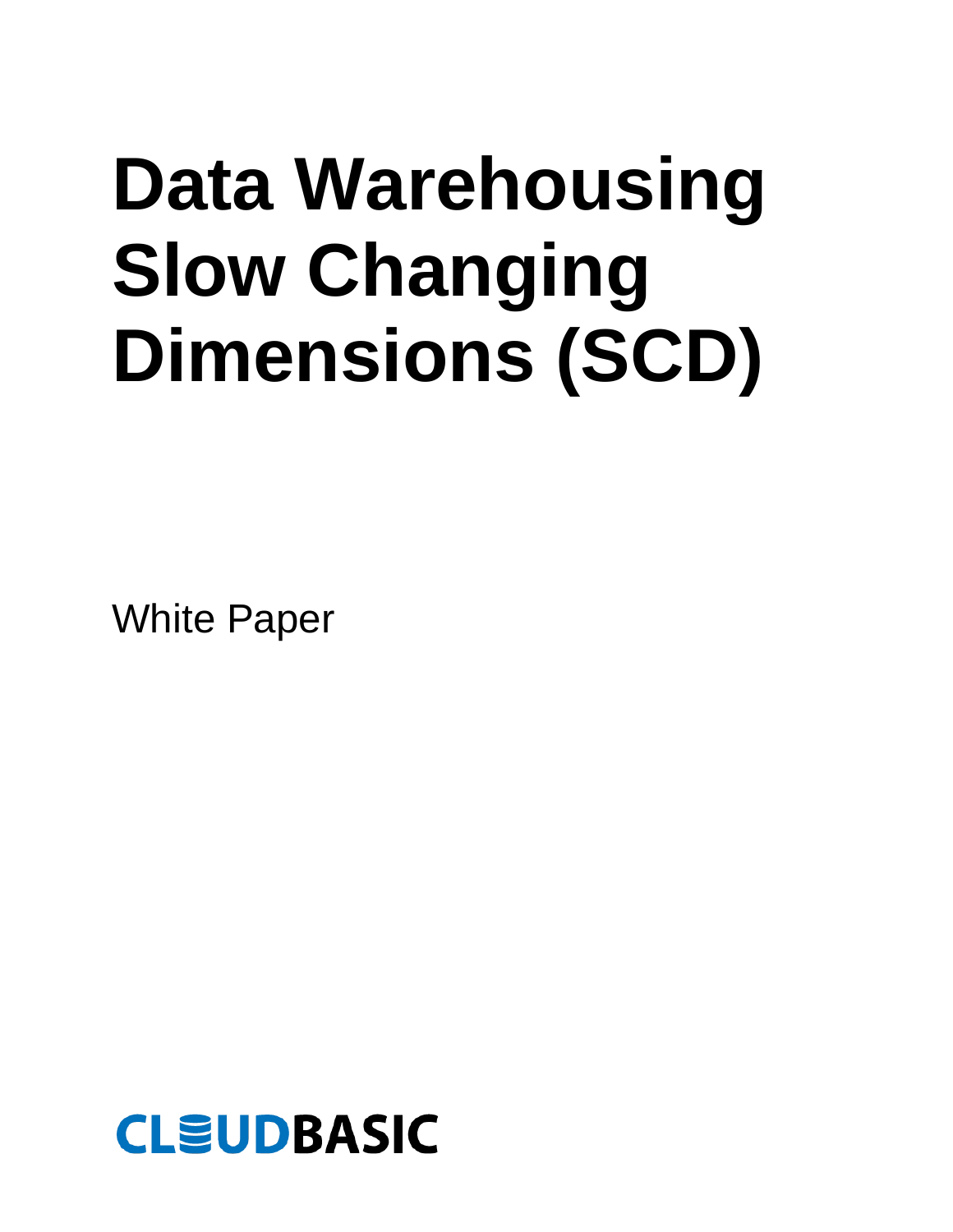# **Data Warehousing Slow Changing Dimensions (SCD)**

White Paper

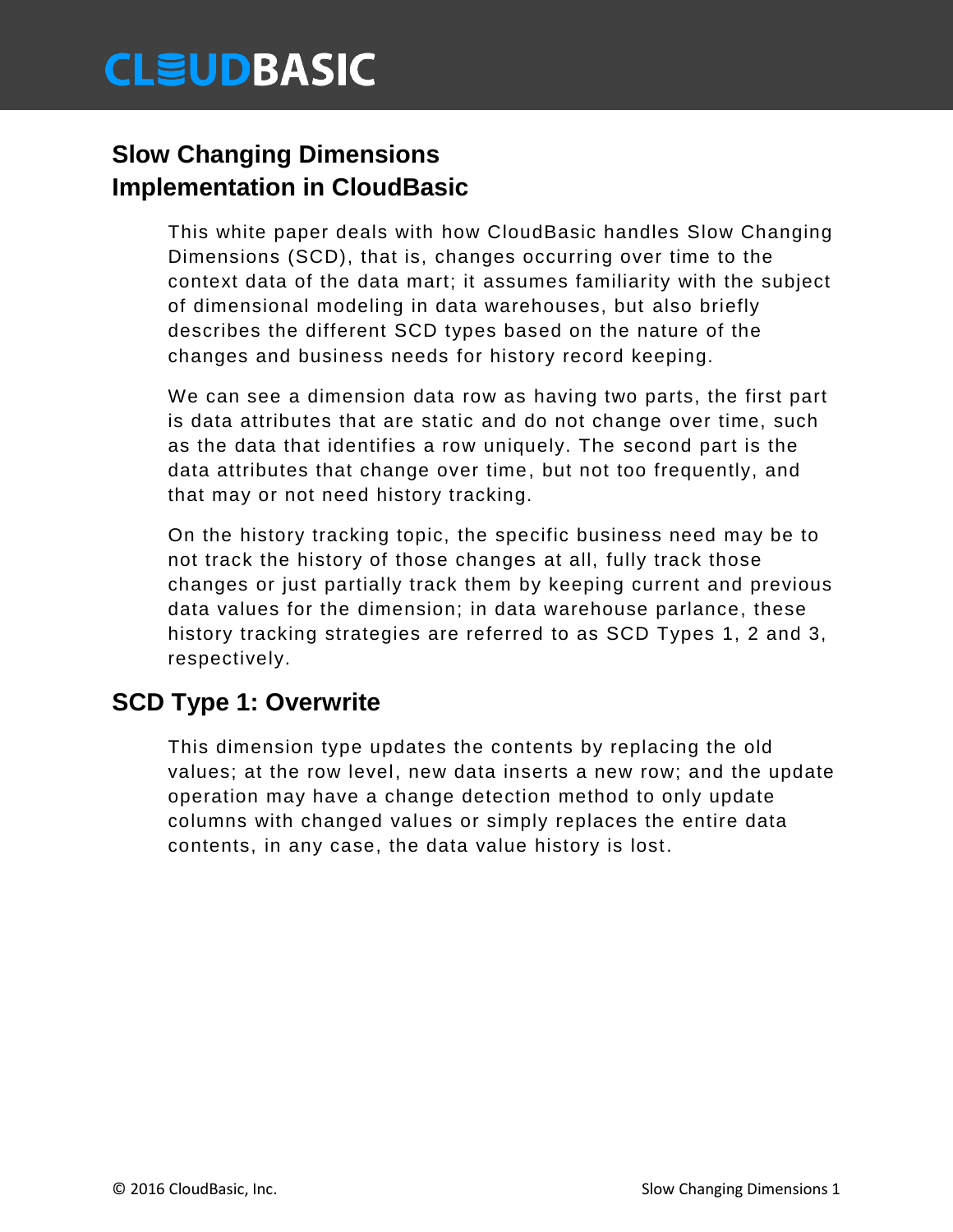# **CLÉUDBASIC**

### **Slow Changing Dimensions Implementation in CloudBasic**

This white paper deals with how CloudBasic handles Slow Changing Dimensions (SCD), that is, changes occurring over time to the context data of the data mart; it assumes familiarity with the subject of dimensional modeling in data warehouses, but also briefly describes the different SCD types based on the nature of the changes and business needs for history record keeping.

We can see a dimension data row as having two parts, the first part is data attributes that are static and do not change over time, such as the data that identifies a row uniquely. The second part is the data attributes that change over time, but not too frequently, and that may or not need history tracking.

On the history tracking topic, the specific business need may be to not track the history of those changes at all, fully track those changes or just partially track them by keeping current and previous data values for the dimension; in data warehouse parlance, these history tracking strategies are referred to as SCD Types 1, 2 and 3, respectively.

### **SCD Type 1: Overwrite**

This dimension type updates the contents by replacing the old values; at the row level, new data inserts a new row; and the update operation may have a change detection method to only update columns with changed values or simply replaces the entire data contents, in any case, the data value history is lost.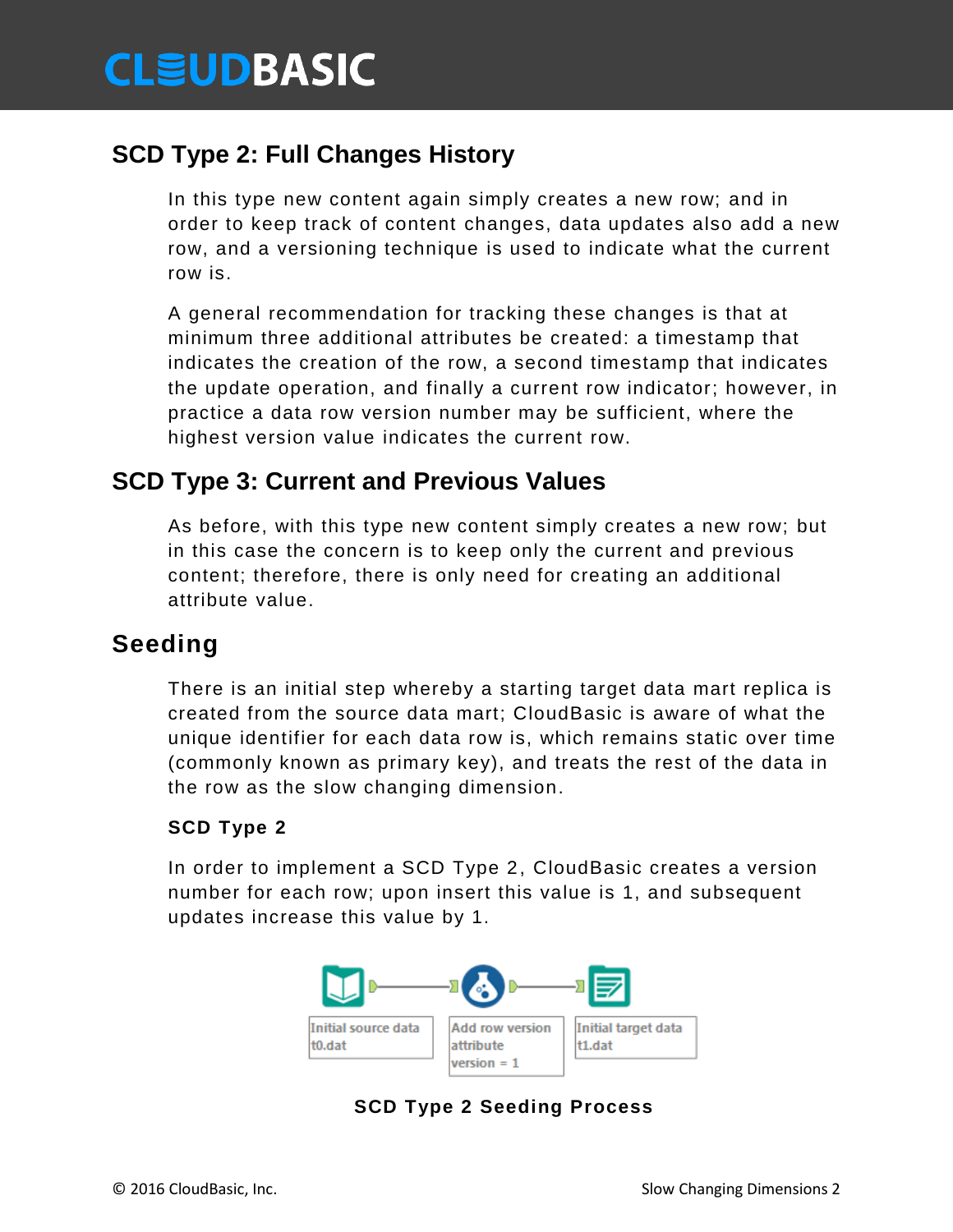# **CLEUDBASIC**

### **SCD Type 2: Full Changes History**

In this type new content again simply creates a new row; and in order to keep track of content changes, data updates also add a new row, and a versioning technique is used to indicate what the current row is.

A general recommendation for tracking these changes is that at minimum three additional attributes be created: a timestamp that indicates the creation of the row, a second timestamp that indicates the update operation, and finally a current row indicator; however, in practice a data row version number may be sufficient, where the highest version value indicates the current row.

### **SCD Type 3: Current and Previous Values**

As before, with this type new content simply creates a new row; but in this case the concern is to keep only the current and previous content; therefore, there is only need for creating an additional attribute value.

### **Seeding**

There is an initial step whereby a starting target data mart replica is created from the source data mart; CloudBasic is aware of what the unique identifier for each data row is, which remains static over time (commonly known as primary key), and treats the rest of the data in the row as the slow changing dimension.

### **SCD Type 2**

In order to implement a SCD Type 2, CloudBasic creates a version number for each row; upon insert this value is 1, and subsequent updates increase this value by 1.



**SCD Type 2 Seeding Process**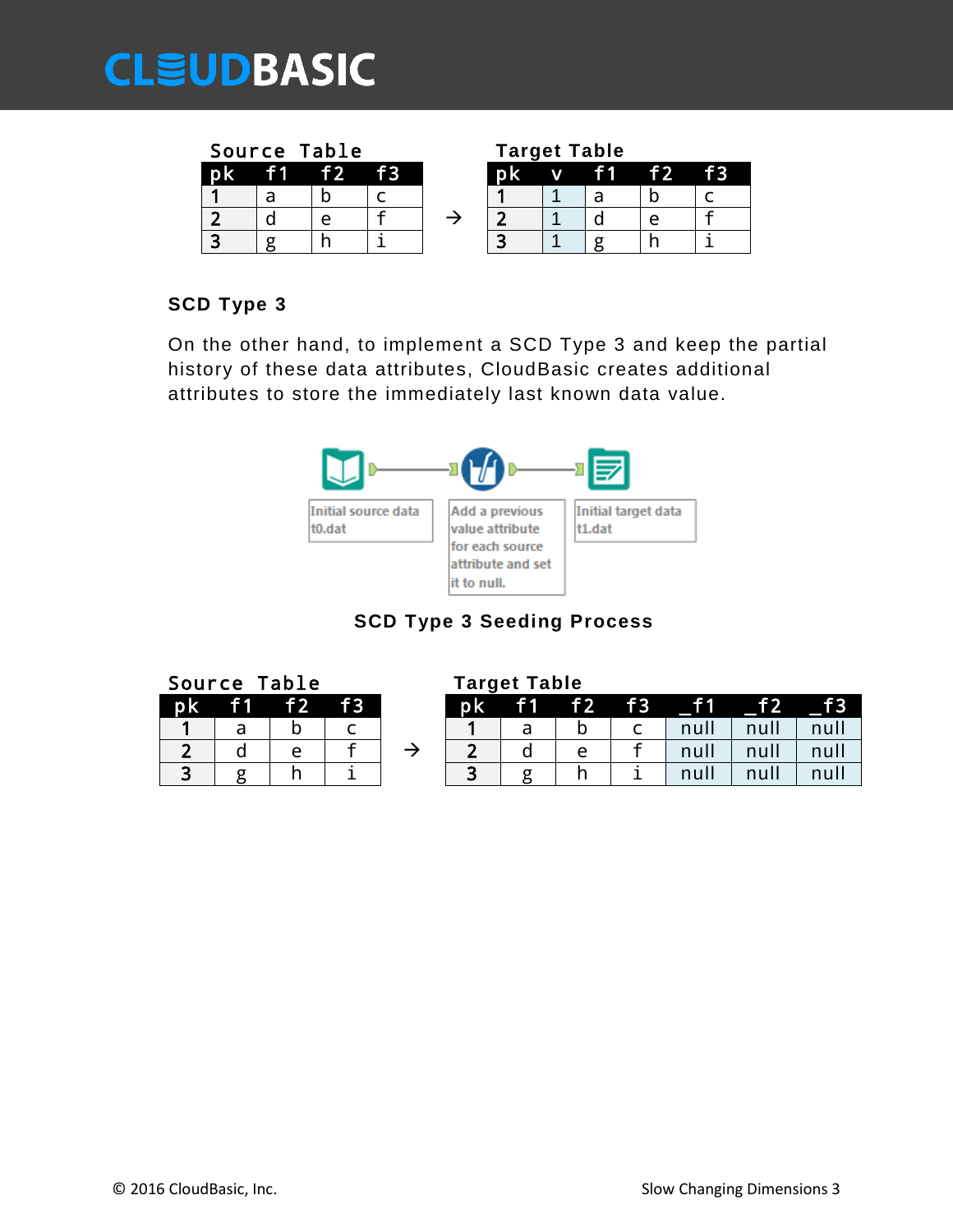# **EUDBASIC**

|     | Source Table |    |  |    | <b>Target Table</b> |     |  |
|-----|--------------|----|--|----|---------------------|-----|--|
| p k | f1 $f2$      | f3 |  | W. | <b>f1</b>           | f 2 |  |
|     |              |    |  |    |                     |     |  |
|     |              |    |  |    |                     |     |  |
|     |              |    |  |    |                     |     |  |

|         |   | <b>Source Table</b> |  | rarget rable |   |     |    |  |
|---------|---|---------------------|--|--------------|---|-----|----|--|
| рk      | т | T 2 I               |  | DK.          | V | † 1 | f2 |  |
|         | d |                     |  |              |   |     |    |  |
| ∽       |   |                     |  |              |   |     |    |  |
| ີ<br>r. |   |                     |  |              |   |     |    |  |

### **SCD Type 3**

On the other hand, to implement a SCD Type 3 and keep the partial history of these data attributes, CloudBasic creates additional attributes to store the immediately last known data value.



### **SCD Type 3 Seeding Process**

|    | Source Table |    |                 |    | <b>Target Table</b> |                |      |      |
|----|--------------|----|-----------------|----|---------------------|----------------|------|------|
| pk |              | f2 | $\overline{f}3$ | рk | 11.                 | f <sub>2</sub> |      | f3   |
|    | a            |    |                 |    |                     |                | null | null |
|    |              | A  |                 |    |                     | e              | null | null |
| ີ  |              |    |                 | ີ  |                     |                | null |      |

|  | Source Table |             |  | Target Table |  |                                                                                                                                                                |             |  |
|--|--------------|-------------|--|--------------|--|----------------------------------------------------------------------------------------------------------------------------------------------------------------|-------------|--|
|  |              | pk f1 f2 f3 |  | pk f1 f2 f3  |  |                                                                                                                                                                |             |  |
|  |              |             |  |              |  | $\left  \begin{array}{c} \cdot & \cdot \\ \cdot & \cdot \end{array} \right $ null $\left  \begin{array}{c} \cdot & \cdot \\ \cdot & \cdot \end{array} \right $ | null   null |  |
|  |              |             |  |              |  |                                                                                                                                                                |             |  |

| © 2016 CloudBasic, Inc. |  |  |  |  |  |
|-------------------------|--|--|--|--|--|
|-------------------------|--|--|--|--|--|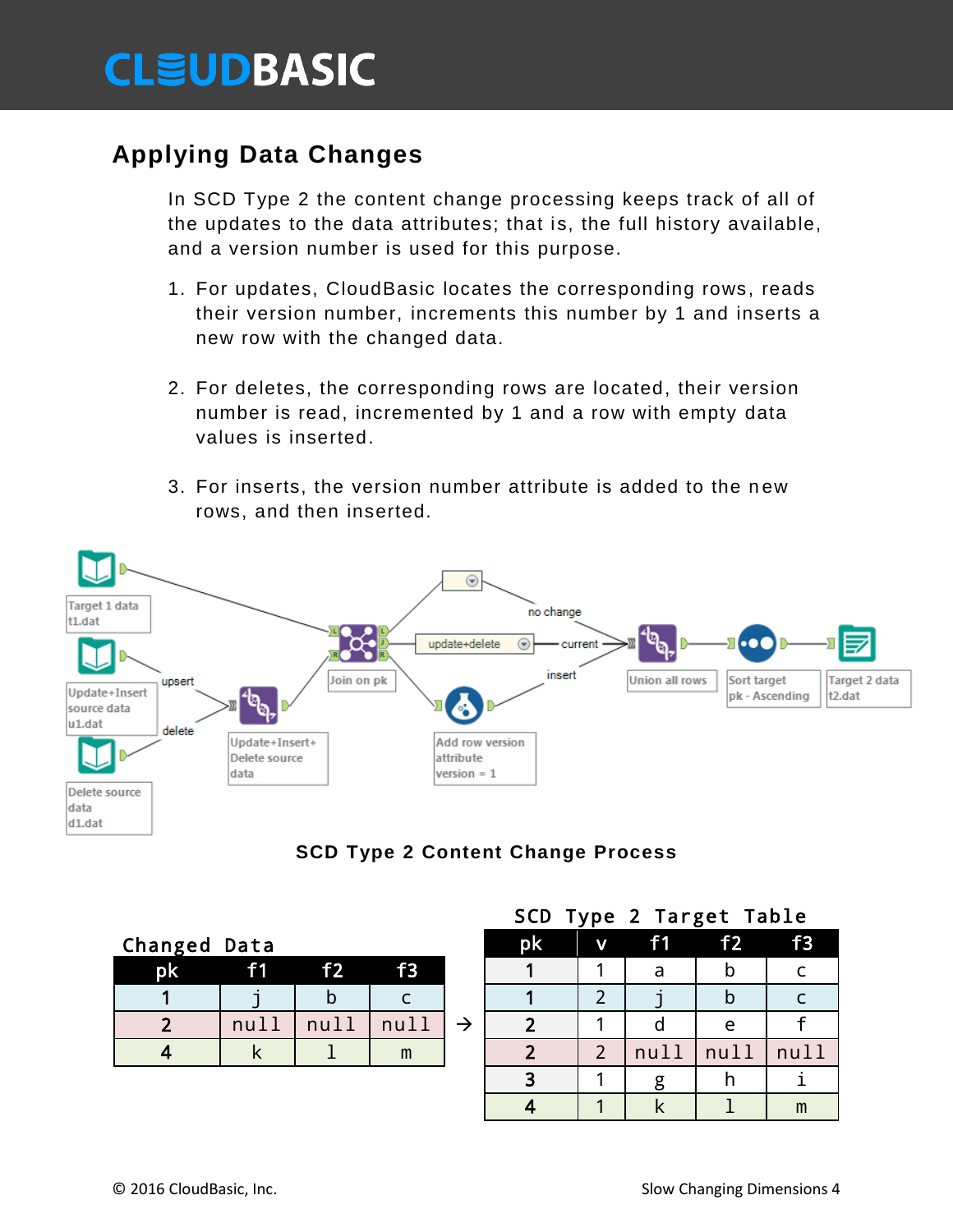# **CLEUDBASIC**

# **Applying Data Changes**

In SCD Type 2 the content change processing keeps track of all of the updates to the data attributes; that is, the full history available, and a version number is used for this purpose.

- 1. For updates, CloudBasic locates the corresponding rows, reads their version number, increments this number by 1 and inserts a new row with the changed data.
- 2. For deletes, the corresponding rows are located, their version number is read, incremented by 1 and a row with empty data values is inserted.
- 3. For inserts, the version number attribute is added to the n ew rows, and then inserted.





| Changed Data |      |                |      | pk | $\mathbf v$ | f1   | f <sub>2</sub> |      |
|--------------|------|----------------|------|----|-------------|------|----------------|------|
| pk           | f1   | f <sub>2</sub> | f3   |    |             | a    |                |      |
|              |      |                |      |    |             |      |                |      |
|              | nu11 | null           | nu11 |    |             |      | A              |      |
|              |      |                | m    |    |             | null | null           | null |
|              |      |                |      |    |             |      |                |      |

### SCD Type 2 Target Table

| <b>Inged Data</b> |                |      |      |               | <b>pk</b>      | $\overline{\mathbf{v}}$ | f1   | f2   | f3   |
|-------------------|----------------|------|------|---------------|----------------|-------------------------|------|------|------|
| pk                | f <sub>1</sub> | f2   | f3   |               |                |                         | a    |      |      |
|                   |                |      |      |               |                |                         |      |      |      |
| $\overline{2}$    | null           | null | null | $\rightarrow$ | $\overline{2}$ | ◢                       |      | e    |      |
| $\overline{4}$    |                |      | m    |               | <u>ີ</u>       | $\overline{2}$          | null | null | null |
|                   |                |      |      |               | 3              |                         | g    |      |      |
|                   |                |      |      |               |                |                         |      |      | m    |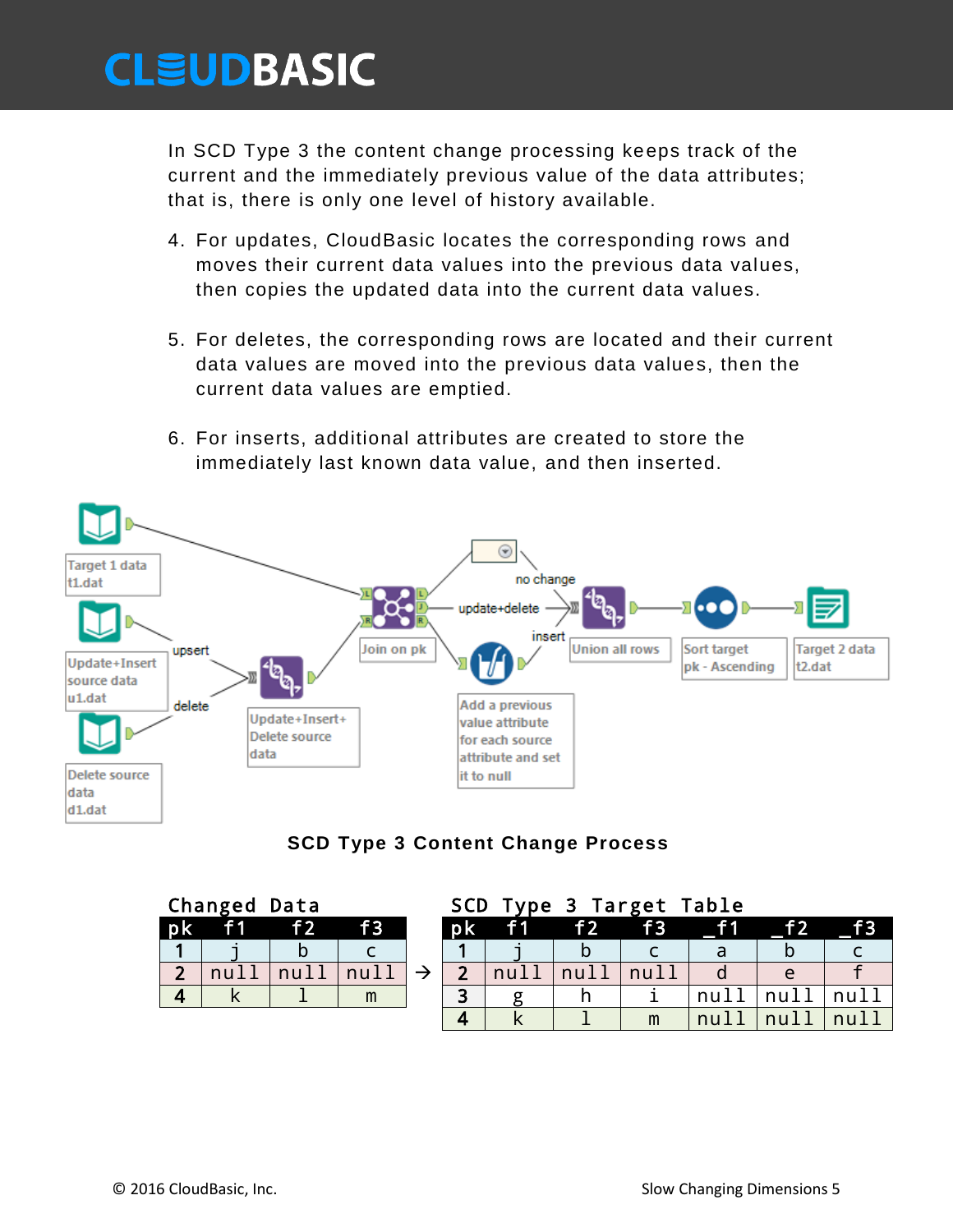# **CLÉUDBASIC**

In SCD Type 3 the content change processing keeps track of the current and the immediately previous value of the data attributes; that is, there is only one level of history available.

- 4. For updates, CloudBasic locates the corresponding rows and moves their current data values into the previous data values, then copies the updated data into the current data values.
- 5. For deletes, the corresponding rows are located and their current data values are moved into the previous data values, then the current data values are emptied.
- 6. For inserts, additional attributes are created to store the immediately last known data value, and then inserted.



#### **SCD Type 3 Content Change Process**

|                | Changed Data |    |                 | <b>SCD</b>               | Type 3 Target Table |    |      |  |
|----------------|--------------|----|-----------------|--------------------------|---------------------|----|------|--|
| p <sub>k</sub> |              | f2 | $\overline{f}3$ | <b>Tok</b>               | f 2                 | f3 |      |  |
|                |              |    |                 |                          |                     |    |      |  |
| $\mathbf{D}$   |              |    | $n_{1}$         | $\overline{\phantom{a}}$ | null                | n  |      |  |
|                |              |    | m               | 2                        |                     |    | null |  |
|                |              |    |                 | Δ                        |                     | m  | nul  |  |